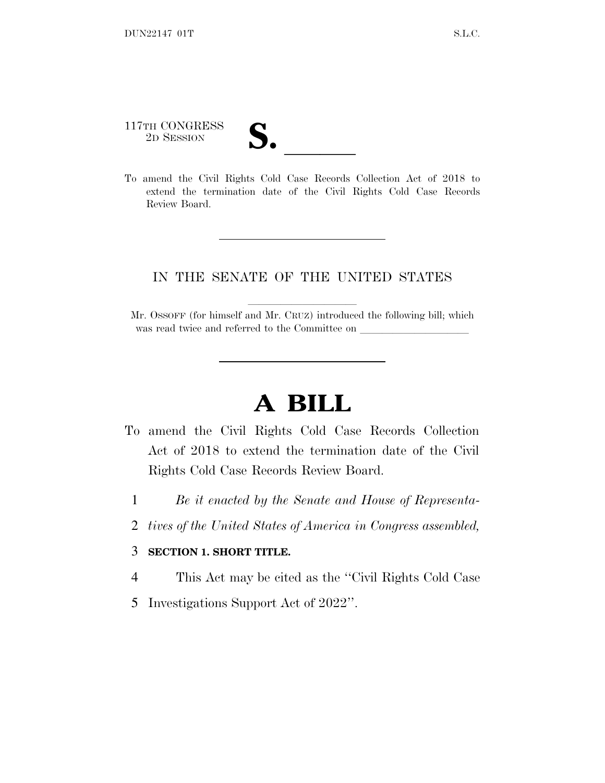## 117TH CONGRESS

117TH CONGRESS<br>
2D SESSION<br>
To amend the Civil Rights Cold Case Records Collection Act of 2018 to extend the termination date of the Civil Rights Cold Case Records Review Board.

## IN THE SENATE OF THE UNITED STATES

Mr. OSSOFF (for himself and Mr. CRUZ) introduced the following bill; which was read twice and referred to the Committee on

## **A BILL**

- To amend the Civil Rights Cold Case Records Collection Act of 2018 to extend the termination date of the Civil Rights Cold Case Records Review Board.
	- 1 *Be it enacted by the Senate and House of Representa-*
	- 2 *tives of the United States of America in Congress assembled,*

## 3 **SECTION 1. SHORT TITLE.**

- 4 This Act may be cited as the ''Civil Rights Cold Case
- 5 Investigations Support Act of 2022''.